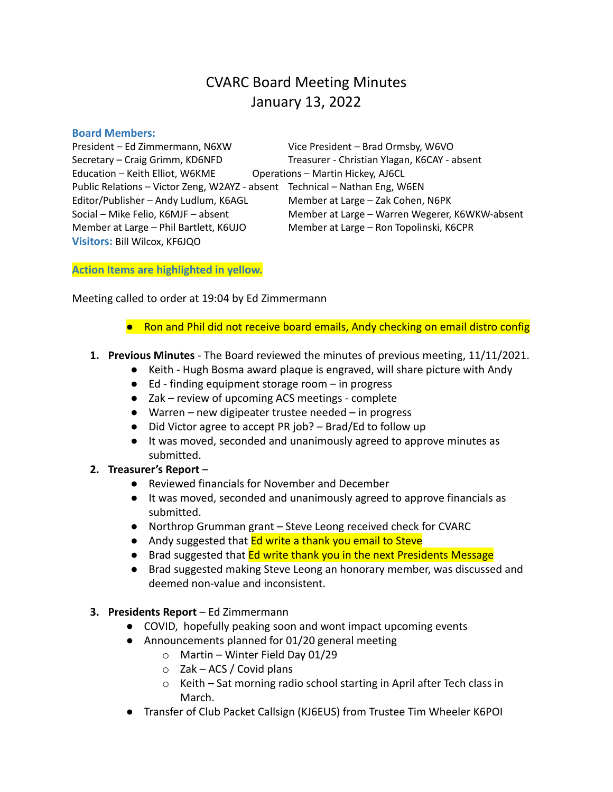# CVARC Board Meeting Minutes January 13, 2022

#### **Board Members:**

President – Ed Zimmermann, N6XW Vice President – Brad Ormsby, W6VO Secretary – Craig Grimm, KD6NFD Treasurer - Christian Ylagan, K6CAY - absent Education – Keith Elliot, W6KME Operations – Martin Hickey, AJ6CL Public Relations – Victor Zeng, W2AYZ - absent Technical – Nathan Eng, W6EN Editor/Publisher – Andy Ludlum, K6AGL Member at Large – Zak Cohen, N6PK Social – Mike Felio, K6MJF – absent Member at Large – Warren Wegerer, K6WKW-absent Member at Large – Phil Bartlett, K6UJO Member at Large – Ron Topolinski, K6CPR **Visitors:** Bill Wilcox, KF6JQO

**Action Items are highlighted in yellow.**

Meeting called to order at 19:04 by Ed Zimmermann

- Ron and Phil did not receive board emails, Andy checking on email distro config
- **1. Previous Minutes** The Board reviewed the minutes of previous meeting, 11/11/2021.
	- Keith Hugh Bosma award plaque is engraved, will share picture with Andy
	- Ed finding equipment storage room in progress
	- Zak review of upcoming ACS meetings complete
	- Warren new digipeater trustee needed in progress
	- Did Victor agree to accept PR job? Brad/Ed to follow up
	- It was moved, seconded and unanimously agreed to approve minutes as submitted.
- **2. Treasurer's Report**
	- Reviewed financials for November and December
	- It was moved, seconded and unanimously agreed to approve financials as submitted.
	- Northrop Grumman grant Steve Leong received check for CVARC
	- Andy suggested that **Ed write a thank you email to Steve**
	- Brad suggested that Ed write thank you in the next Presidents Message
	- Brad suggested making Steve Leong an honorary member, was discussed and deemed non-value and inconsistent.
- **3. Presidents Report** Ed Zimmermann
	- COVID, hopefully peaking soon and wont impact upcoming events
	- Announcements planned for 01/20 general meeting
		- o Martin Winter Field Day 01/29
		- $\circ$  Zak ACS / Covid plans
		- o Keith Sat morning radio school starting in April after Tech class in March.
	- Transfer of Club Packet Callsign (KJ6EUS) from Trustee Tim Wheeler K6POI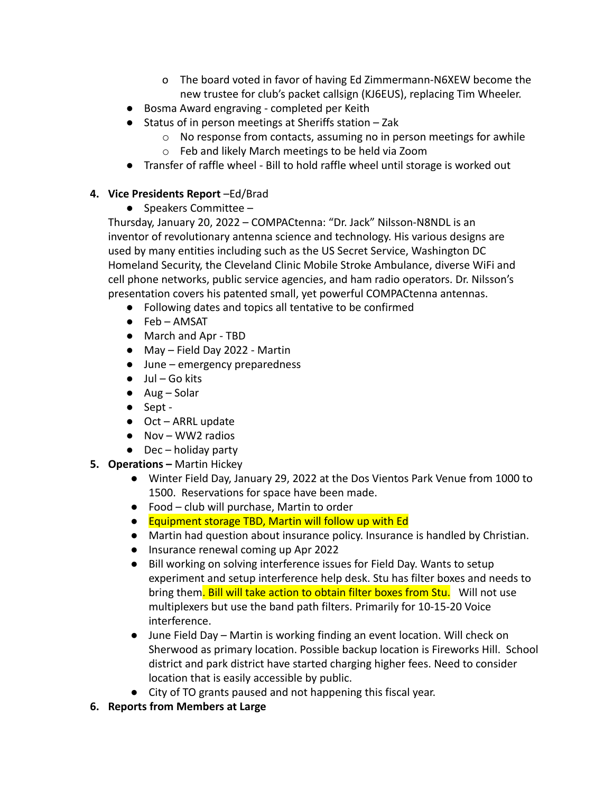- o The board voted in favor of having Ed Zimmermann-N6XEW become the new trustee for club's packet callsign (KJ6EUS), replacing Tim Wheeler.
- Bosma Award engraving completed per Keith
- Status of in person meetings at Sheriffs station Zak
	- o No response from contacts, assuming no in person meetings for awhile
	- o Feb and likely March meetings to be held via Zoom
- Transfer of raffle wheel Bill to hold raffle wheel until storage is worked out
- **4. Vice Presidents Report** –Ed/Brad
	- **●** Speakers Committee –

Thursday, January 20, 2022 – COMPACtenna: "Dr. Jack" Nilsson-N8NDL is an inventor of revolutionary antenna science and technology. His various designs are used by many entities including such as the US Secret Service, Washington DC Homeland Security, the Cleveland Clinic Mobile Stroke Ambulance, diverse WiFi and cell phone networks, public service agencies, and ham radio operators. Dr. Nilsson's presentation covers his patented small, yet powerful COMPACtenna antennas.

- Following dates and topics all tentative to be confirmed
- Feb AMSAT
- March and Apr TBD
- May Field Day 2022 Martin
- June emergency preparedness
- $\bullet$  Jul Go kits
- $\bullet$  Aug Solar
- Sept -
- Oct ARRL update
- Nov WW2 radios
- $\bullet$  Dec holiday party
- **5. Operations –** Martin Hickey
	- Winter Field Day, January 29, 2022 at the Dos Vientos Park Venue from 1000 to 1500. Reservations for space have been made.
	- Food club will purchase, Martin to order
	- Equipment storage TBD, Martin will follow up with Ed
	- Martin had question about insurance policy. Insurance is handled by Christian.
	- Insurance renewal coming up Apr 2022
	- Bill working on solving interference issues for Field Day. Wants to setup experiment and setup interference help desk. Stu has filter boxes and needs to bring them. Bill will take action to obtain filter boxes from Stu. Will not use multiplexers but use the band path filters. Primarily for 10-15-20 Voice interference.
	- June Field Day Martin is working finding an event location. Will check on Sherwood as primary location. Possible backup location is Fireworks Hill. School district and park district have started charging higher fees. Need to consider location that is easily accessible by public.
	- City of TO grants paused and not happening this fiscal year.
- **6. Reports from Members at Large**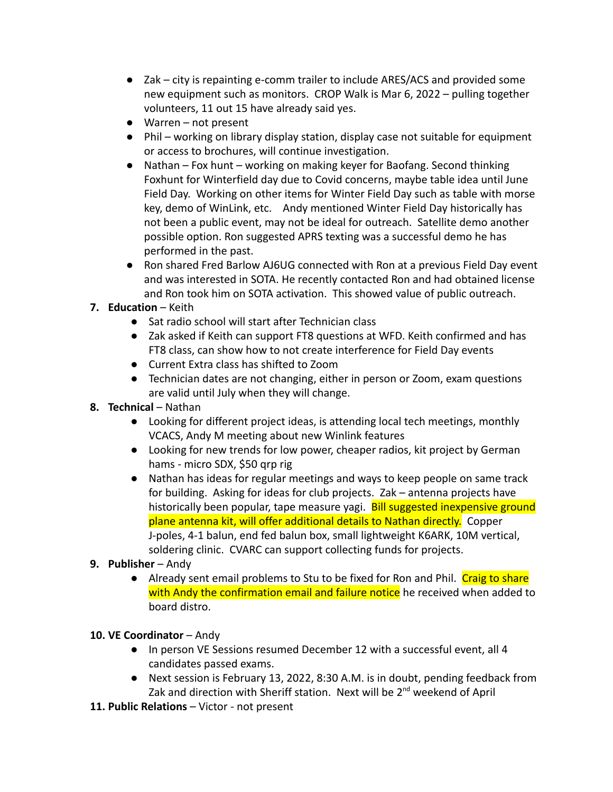- Zak city is repainting e-comm trailer to include ARES/ACS and provided some new equipment such as monitors. CROP Walk is Mar 6, 2022 – pulling together volunteers, 11 out 15 have already said yes.
- Warren not present
- Phil working on library display station, display case not suitable for equipment or access to brochures, will continue investigation.
- Nathan Fox hunt working on making keyer for Baofang. Second thinking Foxhunt for Winterfield day due to Covid concerns, maybe table idea until June Field Day. Working on other items for Winter Field Day such as table with morse key, demo of WinLink, etc. Andy mentioned Winter Field Day historically has not been a public event, may not be ideal for outreach. Satellite demo another possible option. Ron suggested APRS texting was a successful demo he has performed in the past.
- Ron shared Fred Barlow AJ6UG connected with Ron at a previous Field Day event and was interested in SOTA. He recently contacted Ron and had obtained license and Ron took him on SOTA activation. This showed value of public outreach.

## **7. Education** – Keith

- Sat radio school will start after Technician class
- Zak asked if Keith can support FT8 questions at WFD. Keith confirmed and has FT8 class, can show how to not create interference for Field Day events
- Current Extra class has shifted to Zoom
- Technician dates are not changing, either in person or Zoom, exam questions are valid until July when they will change.
- **8. Technical** Nathan
	- Looking for different project ideas, is attending local tech meetings, monthly VCACS, Andy M meeting about new Winlink features
	- Looking for new trends for low power, cheaper radios, kit project by German hams - micro SDX, \$50 qrp rig
	- Nathan has ideas for regular meetings and ways to keep people on same track for building. Asking for ideas for club projects. Zak – antenna projects have historically been popular, tape measure yagi. Bill suggested inexpensive ground plane antenna kit, will offer additional details to Nathan directly. Copper J-poles, 4-1 balun, end fed balun box, small lightweight K6ARK, 10M vertical, soldering clinic. CVARC can support collecting funds for projects.

## **9. Publisher** – Andy

• Already sent email problems to Stu to be fixed for Ron and Phil. Craig to share with Andy the confirmation email and failure notice he received when added to board distro.

## **10. VE Coordinator** – Andy

- In person VE Sessions resumed December 12 with a successful event, all 4 candidates passed exams.
- Next session is February 13, 2022, 8:30 A.M. is in doubt, pending feedback from Zak and direction with Sheriff station. Next will be 2<sup>nd</sup> weekend of April
- **11. Public Relations** Victor not present